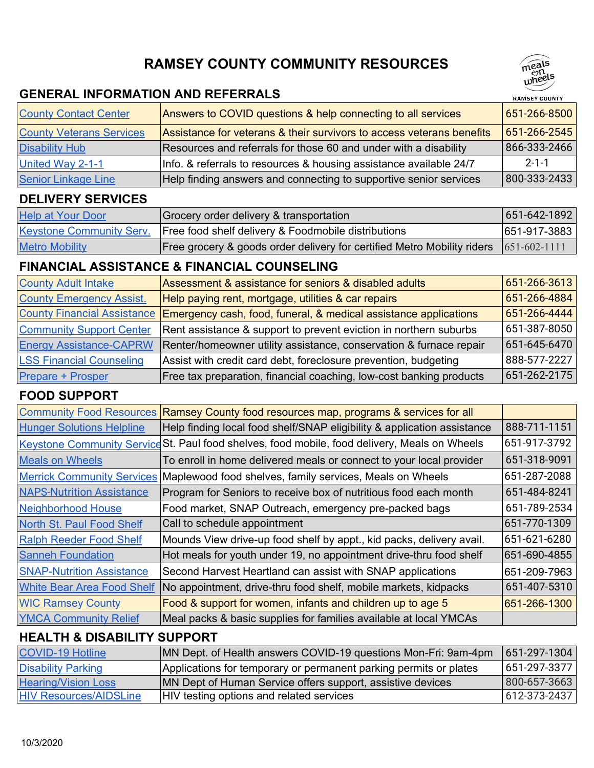## **RAMSEY COUNTY COMMUNITY RESOURCES**

#### **GENERAL INFORMATION AND REFERRALS**

| <b>County Contact Center</b>    | Answers to COVID questions & help connecting to all services          | $651 - 266 - 8500$   |
|---------------------------------|-----------------------------------------------------------------------|----------------------|
| <b>County Veterans Services</b> | Assistance for veterans & their survivors to access veterans benefits | $ 651 - 266 - 2545 $ |
| <b>Disability Hub</b>           | Resources and referrals for those 60 and under with a disability      | 866-333-2466         |
| United Way 2-1-1                | Info. & referrals to resources & housing assistance available 24/7    | $2 - 1 - 1$          |
| <b>Senior Linkage Line</b>      | Help finding answers and connecting to supportive senior services     | 800-333-2433         |

## **DELIVERY SERVICES**

| <b>Help at Your Door</b>        | Grocery order delivery & transportation                                 | $ 651 - 642 - 1892 $ |
|---------------------------------|-------------------------------------------------------------------------|----------------------|
| <b>Keystone Community Serv.</b> | Free food shelf delivery & Foodmobile distributions                     | 651-917-3883         |
| <b>Metro Mobility</b>           | Free grocery & goods order delivery for certified Metro Mobility riders | $[651-602-1111]$     |

## **FINANCIAL ASSISTANCE & FINANCIAL COUNSELING**

| <b>County Adult Intake</b>      | Assessment & assistance for seniors & disabled adults                                          | 651-266-3613                       |
|---------------------------------|------------------------------------------------------------------------------------------------|------------------------------------|
| <b>County Emergency Assist.</b> | Help paying rent, mortgage, utilities & car repairs                                            | 651-266-4884                       |
|                                 | County Financial Assistance   Emergency cash, food, funeral, & medical assistance applications | 651-266-4444                       |
| <b>Community Support Center</b> | Rent assistance & support to prevent eviction in northern suburbs                              | 651-387-8050                       |
| <b>Energy Assistance-CAPRW</b>  | Renter/homeowner utility assistance, conservation & furnace repair                             | 651-645-6470                       |
| <b>LSS Financial Counseling</b> | Assist with credit card debt, foreclosure prevention, budgeting                                | $^{\shortmid}$ 888-577-2227 $\mid$ |
| Prepare + Prosper               | Free tax preparation, financial coaching, low-cost banking products                            | 651-262-2175                       |

## **FOOD SUPPORT**

| <b>Community Food Resources</b>   | Ramsey County food resources map, programs & services for all                                 |              |
|-----------------------------------|-----------------------------------------------------------------------------------------------|--------------|
| <b>Hunger Solutions Helpline</b>  | Help finding local food shelf/SNAP eligibility & application assistance                       | 888-711-1151 |
|                                   | Keystone Community Service St. Paul food shelves, food mobile, food delivery, Meals on Wheels | 651-917-3792 |
| <b>Meals on Wheels</b>            | To enroll in home delivered meals or connect to your local provider                           | 651-318-9091 |
| <b>Merrick Community Services</b> | Maplewood food shelves, family services, Meals on Wheels                                      | 651-287-2088 |
| <b>NAPS-Nutrition Assistance</b>  | Program for Seniors to receive box of nutritious food each month                              | 651-484-8241 |
| Neighborhood House                | Food market, SNAP Outreach, emergency pre-packed bags                                         | 651-789-2534 |
| North St. Paul Food Shelf         | Call to schedule appointment                                                                  | 651-770-1309 |
| <b>Ralph Reeder Food Shelf</b>    | Mounds View drive-up food shelf by appt., kid packs, delivery avail.                          | 651-621-6280 |
| <b>Sanneh Foundation</b>          | Hot meals for youth under 19, no appointment drive-thru food shelf                            | 651-690-4855 |
| <b>SNAP-Nutrition Assistance</b>  | Second Harvest Heartland can assist with SNAP applications                                    | 651-209-7963 |
| <b>White Bear Area Food Shelf</b> | No appointment, drive-thru food shelf, mobile markets, kidpacks                               | 651-407-5310 |
| <b>WIC Ramsey County</b>          | Food & support for women, infants and children up to age 5                                    | 651-266-1300 |
| <b>YMCA Community Relief</b>      | Meal packs & basic supplies for families available at local YMCAs                             |              |

## **HEALTH & DISABILITY SUPPORT**

| <b>COVID-19 Hotline</b>       | MN Dept. of Health answers COVID-19 questions Mon-Fri: 9am-4pm     | 651-297-1304 |
|-------------------------------|--------------------------------------------------------------------|--------------|
| <b>Disability Parking</b>     | Applications for temporary or permanent parking permits or plates  | 651-297-3377 |
| <b>Hearing/Vision Loss</b>    | <b>IMN Dept of Human Service offers support, assistive devices</b> | 800-657-3663 |
| <b>HIV Resources/AIDSLine</b> | HIV testing options and related services                           | 612-373-2437 |